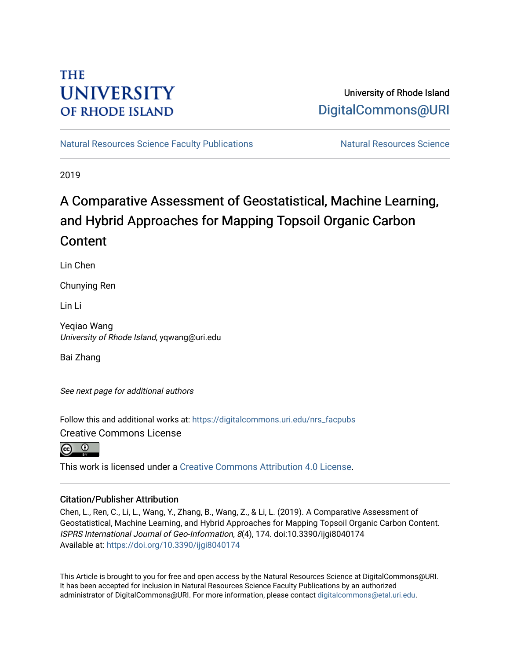## **THE UNIVERSITY OF RHODE ISLAND**

## University of Rhode Island [DigitalCommons@URI](https://digitalcommons.uri.edu/)

[Natural Resources Science Faculty Publications](https://digitalcommons.uri.edu/nrs_facpubs) Natural Resources Science

2019

# A Comparative Assessment of Geostatistical, Machine Learning, and Hybrid Approaches for Mapping Topsoil Organic Carbon **Content**

Lin Chen

Chunying Ren

Lin Li

Yeqiao Wang University of Rhode Island, yqwang@uri.edu

Bai Zhang

See next page for additional authors

Follow this and additional works at: [https://digitalcommons.uri.edu/nrs\\_facpubs](https://digitalcommons.uri.edu/nrs_facpubs?utm_source=digitalcommons.uri.edu%2Fnrs_facpubs%2F131&utm_medium=PDF&utm_campaign=PDFCoverPages) 

Creative Commons License

 $\odot$   $\odot$ 

This work is licensed under a [Creative Commons Attribution 4.0 License](https://creativecommons.org/licenses/by/4.0/).

## Citation/Publisher Attribution

Chen, L., Ren, C., Li, L., Wang, Y., Zhang, B., Wang, Z., & Li, L. (2019). A Comparative Assessment of Geostatistical, Machine Learning, and Hybrid Approaches for Mapping Topsoil Organic Carbon Content. ISPRS International Journal of Geo-Information, 8(4), 174. doi:10.3390/ijgi8040174 Available at:<https://doi.org/10.3390/ijgi8040174>

This Article is brought to you for free and open access by the Natural Resources Science at DigitalCommons@URI. It has been accepted for inclusion in Natural Resources Science Faculty Publications by an authorized administrator of DigitalCommons@URI. For more information, please contact [digitalcommons@etal.uri.edu.](mailto:digitalcommons@etal.uri.edu)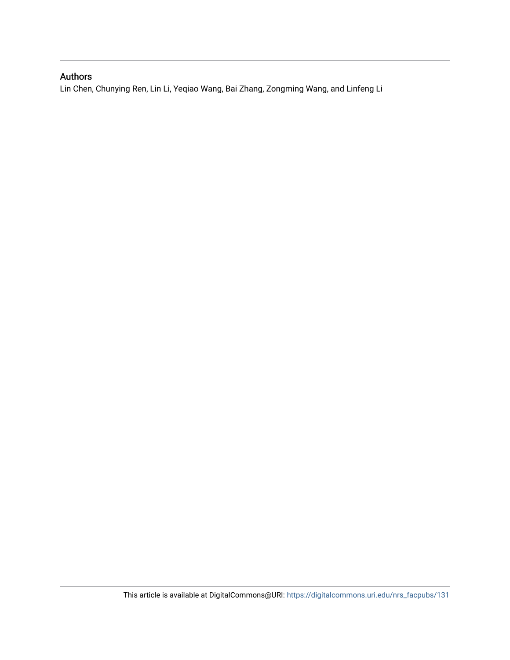## Authors

Lin Chen, Chunying Ren, Lin Li, Yeqiao Wang, Bai Zhang, Zongming Wang, and Linfeng Li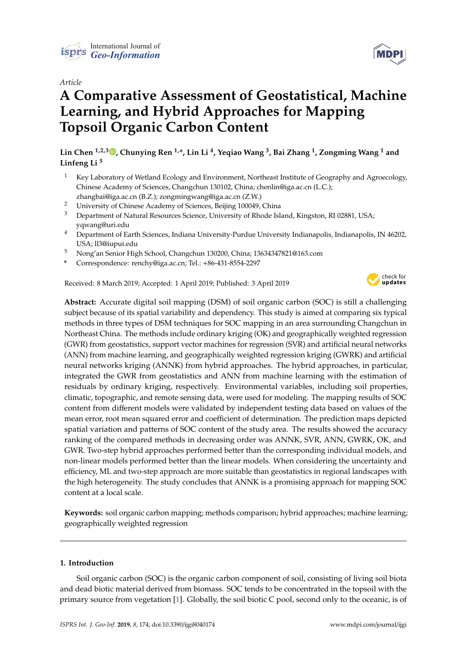

### *Article*

# **A Comparative Assessment of Geostatistical, Machine Learning, and Hybrid Approaches for Mapping Topsoil Organic Carbon Content**

**Lin Chen 1,2,3 [,](https://orcid.org/0000-0002-9270-1626) Chunying Ren 1,\*, Lin Li <sup>4</sup> , Yeqiao Wang <sup>3</sup> , Bai Zhang <sup>1</sup> , Zongming Wang <sup>1</sup> and Linfeng Li <sup>5</sup>**

- <sup>1</sup> Key Laboratory of Wetland Ecology and Environment, Northeast Institute of Geography and Agroecology, Chinese Academy of Sciences, Changchun 130102, China; chenlin@iga.ac.cn (L.C.); zhangbai@iga.ac.cn (B.Z.); zongmingwang@iga.ac.cn (Z.W.)
- <sup>2</sup> University of Chinese Academy of Sciences, Beijing 100049, China
- <sup>3</sup> Department of Natural Resources Science, University of Rhode Island, Kingston, RI 02881, USA; yqwang@uri.edu
- <sup>4</sup> Department of Earth Sciences, Indiana University-Purdue University Indianapolis, Indianapolis, IN 46202, USA; ll3@iupui.edu
- <sup>5</sup> Nong'an Senior High School, Changchun 130200, China; 13634347821@163.com
- **\*** Correspondence: renchy@iga.ac.cn; Tel.: +86-431-8554-2297

Received: 8 March 2019; Accepted: 1 April 2019; Published: 3 April 2019



**Abstract:** Accurate digital soil mapping (DSM) of soil organic carbon (SOC) is still a challenging subject because of its spatial variability and dependency. This study is aimed at comparing six typical methods in three types of DSM techniques for SOC mapping in an area surrounding Changchun in Northeast China. The methods include ordinary kriging (OK) and geographically weighted regression (GWR) from geostatistics, support vector machines for regression (SVR) and artificial neural networks (ANN) from machine learning, and geographically weighted regression kriging (GWRK) and artificial neural networks kriging (ANNK) from hybrid approaches. The hybrid approaches, in particular, integrated the GWR from geostatistics and ANN from machine learning with the estimation of residuals by ordinary kriging, respectively. Environmental variables, including soil properties, climatic, topographic, and remote sensing data, were used for modeling. The mapping results of SOC content from different models were validated by independent testing data based on values of the mean error, root mean squared error and coefficient of determination. The prediction maps depicted spatial variation and patterns of SOC content of the study area. The results showed the accuracy ranking of the compared methods in decreasing order was ANNK, SVR, ANN, GWRK, OK, and GWR. Two-step hybrid approaches performed better than the corresponding individual models, and non-linear models performed better than the linear models. When considering the uncertainty and efficiency, ML and two-step approach are more suitable than geostatistics in regional landscapes with the high heterogeneity. The study concludes that ANNK is a promising approach for mapping SOC content at a local scale.

**Keywords:** soil organic carbon mapping; methods comparison; hybrid approaches; machine learning; geographically weighted regression

#### **1. Introduction**

Soil organic carbon (SOC) is the organic carbon component of soil, consisting of living soil biota and dead biotic material derived from biomass. SOC tends to be concentrated in the topsoil with the primary source from vegetation [\[1\]](#page-15-0). Globally, the soil biotic C pool, second only to the oceanic, is of

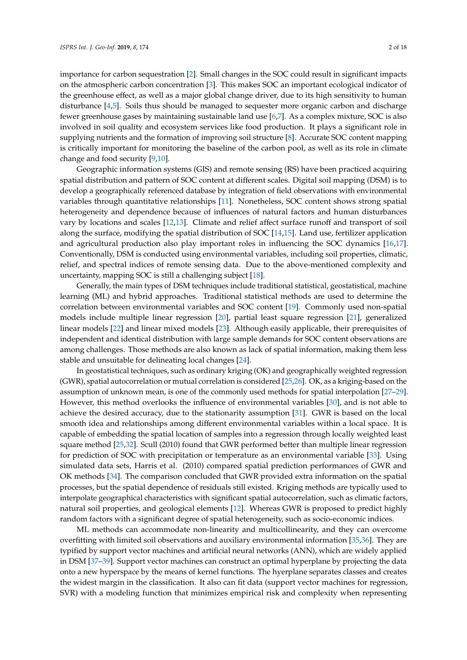importance for carbon sequestration [\[2\]](#page-15-1). Small changes in the SOC could result in significant impacts on the atmospheric carbon concentration [\[3\]](#page-16-0). This makes SOC an important ecological indicator of the greenhouse effect, as well as a major global change driver, due to its high sensitivity to human disturbance [\[4,](#page-16-1)[5\]](#page-16-2). Soils thus should be managed to sequester more organic carbon and discharge fewer greenhouse gases by maintaining sustainable land use [\[6,](#page-16-3)[7\]](#page-16-4). As a complex mixture, SOC is also involved in soil quality and ecosystem services like food production. It plays a significant role in supplying nutrients and the formation of improving soil structure [\[8\]](#page-16-5). Accurate SOC content mapping is critically important for monitoring the baseline of the carbon pool, as well as its role in climate change and food security [\[9](#page-16-6)[,10\]](#page-16-7).

Geographic information systems (GIS) and remote sensing (RS) have been practiced acquiring spatial distribution and pattern of SOC content at different scales. Digital soil mapping (DSM) is to develop a geographically referenced database by integration of field observations with environmental variables through quantitative relationships [\[11\]](#page-16-8). Nonetheless, SOC content shows strong spatial heterogeneity and dependence because of influences of natural factors and human disturbances vary by locations and scales [\[12](#page-16-9)[,13\]](#page-16-10). Climate and relief affect surface runoff and transport of soil along the surface, modifying the spatial distribution of SOC [\[14,](#page-16-11)[15\]](#page-16-12). Land use, fertilizer application and agricultural production also play important roles in influencing the SOC dynamics [\[16,](#page-16-13)[17\]](#page-16-14). Conventionally, DSM is conducted using environmental variables, including soil properties, climatic, relief, and spectral indices of remote sensing data. Due to the above-mentioned complexity and uncertainty, mapping SOC is still a challenging subject [\[18\]](#page-16-15).

Generally, the main types of DSM techniques include traditional statistical, geostatistical, machine learning (ML) and hybrid approaches. Traditional statistical methods are used to determine the correlation between environmental variables and SOC content [\[19\]](#page-16-16). Commonly used non-spatial models include multiple linear regression [\[20\]](#page-16-17), partial least square regression [\[21\]](#page-16-18), generalized linear models [\[22\]](#page-16-19) and linear mixed models [\[23\]](#page-16-20). Although easily applicable, their prerequisites of independent and identical distribution with large sample demands for SOC content observations are among challenges. Those methods are also known as lack of spatial information, making them less stable and unsuitable for delineating local changes [\[24\]](#page-16-21).

In geostatistical techniques, such as ordinary kriging (OK) and geographically weighted regression (GWR), spatial autocorrelation or mutual correlation is considered [\[25,](#page-17-0)[26\]](#page-17-1). OK, as a kriging-based on the assumption of unknown mean, is one of the commonly used methods for spatial interpolation [\[27–](#page-17-2)[29\]](#page-17-3). However, this method overlooks the influence of environmental variables [\[30\]](#page-17-4), and is not able to achieve the desired accuracy, due to the stationarity assumption [\[31\]](#page-17-5). GWR is based on the local smooth idea and relationships among different environmental variables within a local space. It is capable of embedding the spatial location of samples into a regression through locally weighted least square method [\[25](#page-17-0)[,32\]](#page-17-6). Scull (2010) found that GWR performed better than multiple linear regression for prediction of SOC with precipitation or temperature as an environmental variable [\[33\]](#page-17-7). Using simulated data sets, Harris et al. (2010) compared spatial prediction performances of GWR and OK methods [\[34\]](#page-17-8). The comparison concluded that GWR provided extra information on the spatial processes, but the spatial dependence of residuals still existed. Kriging methods are typically used to interpolate geographical characteristics with significant spatial autocorrelation, such as climatic factors, natural soil properties, and geological elements [\[12\]](#page-16-9). Whereas GWR is proposed to predict highly random factors with a significant degree of spatial heterogeneity, such as socio-economic indices.

ML methods can accommodate non-linearity and multicollinearity, and they can overcome overfitting with limited soil observations and auxiliary environmental information [\[35](#page-17-9)[,36\]](#page-17-10). They are typified by support vector machines and artificial neural networks (ANN), which are widely applied in DSM [\[37](#page-17-11)[–39\]](#page-17-12). Support vector machines can construct an optimal hyperplane by projecting the data onto a new hyperspace by the means of kernel functions. The hyerplane separates classes and creates the widest margin in the classification. It also can fit data (support vector machines for regression, SVR) with a modeling function that minimizes empirical risk and complexity when representing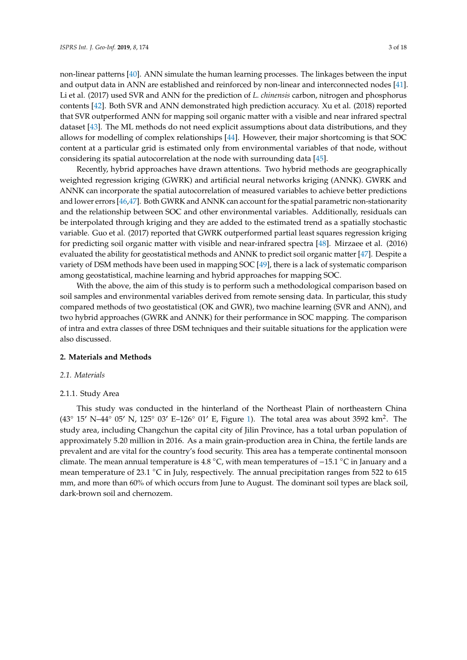non-linear patterns [\[40\]](#page-17-13). ANN simulate the human learning processes. The linkages between the input and output data in ANN are established and reinforced by non-linear and interconnected nodes [\[41\]](#page-17-14). Li et al. (2017) used SVR and ANN for the prediction of *L. chinensis* carbon, nitrogen and phosphorus contents [\[42\]](#page-17-15). Both SVR and ANN demonstrated high prediction accuracy. Xu et al. (2018) reported that SVR outperformed ANN for mapping soil organic matter with a visible and near infrared spectral dataset [\[43\]](#page-17-16). The ML methods do not need explicit assumptions about data distributions, and they allows for modelling of complex relationships [\[44\]](#page-17-17). However, their major shortcoming is that SOC content at a particular grid is estimated only from environmental variables of that node, without considering its spatial autocorrelation at the node with surrounding data [\[45\]](#page-17-18).

Recently, hybrid approaches have drawn attentions. Two hybrid methods are geographically weighted regression kriging (GWRK) and artificial neural networks kriging (ANNK). GWRK and ANNK can incorporate the spatial autocorrelation of measured variables to achieve better predictions and lower errors [\[46](#page-18-0)[,47\]](#page-18-1). Both GWRK and ANNK can account for the spatial parametric non-stationarity and the relationship between SOC and other environmental variables. Additionally, residuals can be interpolated through kriging and they are added to the estimated trend as a spatially stochastic variable. Guo et al. (2017) reported that GWRK outperformed partial least squares regression kriging for predicting soil organic matter with visible and near-infrared spectra [\[48\]](#page-18-2). Mirzaee et al. (2016) evaluated the ability for geostatistical methods and ANNK to predict soil organic matter [\[47\]](#page-18-1). Despite a variety of DSM methods have been used in mapping SOC [\[49\]](#page-18-3), there is a lack of systematic comparison among geostatistical, machine learning and hybrid approaches for mapping SOC.

With the above, the aim of this study is to perform such a methodological comparison based on soil samples and environmental variables derived from remote sensing data. In particular, this study compared methods of two geostatistical (OK and GWR), two machine learning (SVR and ANN), and two hybrid approaches (GWRK and ANNK) for their performance in SOC mapping. The comparison of intra and extra classes of three DSM techniques and their suitable situations for the application were also discussed.

#### **2. Materials and Methods**

#### *2.1. Materials*

#### 2.1.1. Study Area

This study was conducted in the hinterland of the Northeast Plain of northeastern China (43<sup>°</sup> 15' N–44° 05' N, 125° 03' E–126° 01' E, Figure [1\)](#page-5-0). The total area was about 3592 km<sup>2</sup>. The study area, including Changchun the capital city of Jilin Province, has a total urban population of approximately 5.20 million in 2016. As a main grain-production area in China, the fertile lands are prevalent and are vital for the country's food security. This area has a temperate continental monsoon climate. The mean annual temperature is 4.8 ◦C, with mean temperatures of −15.1 ◦C in January and a mean temperature of 23.1 ◦C in July, respectively. The annual precipitation ranges from 522 to 615 mm, and more than 60% of which occurs from June to August. The dominant soil types are black soil, dark-brown soil and chernozem.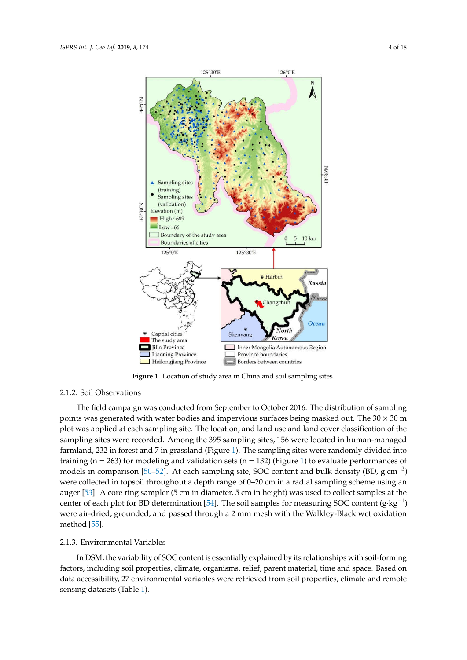<span id="page-5-0"></span>

**Figure 1.** Location of study area in China and soil sampling sites. **Figure 1.** Location of study area in China and soil sampling sites.

### 2.1.2. Soil Observations 2.1.2. Soil Observations

The field campaign was conducted from September to October 2016. The distribution of The field campaign was conducted from September to October 2016. The distribution of sampling points was generated with water bodies and impervious surfaces being masked out. The  $30 \times 30$  m plot was applied at each sampling site. The location, and land use and land cover classification of the sampling sites were recorded. Among the 395 sampling sites, 156 were located in human-managed farmland, 232 in forest and 7 in grassland (Figure [1\)](#page-5-0). The sampling sites were randomly divided into training (n = 263) for modeling and validation sets (n = 132) (Figure [1\)](#page-5-0) to evaluate performances of models in comparison [\[50](#page-18-4)[–52\]](#page-18-5). At each sampling site, SOC content and bulk density (BD, g·cm<sup>-3</sup>) were collected in topsoil throughout a depth range of 0–20 cm in a radial sampling scheme using an auger [\[53\]](#page-18-6). A core ring sampler (5 cm in diameter, 5 cm in height) was used to collect samples at the  $\mathbf{u}_s$  samples at the center of each plot for BD determination  $\mathbf{541}$ . The soil samples for each plot for BOG center (6 the center of each plot for BD determination [\[54\]](#page-18-7). The soil samples for measuring SOC content  $(g \cdot kg^{-1})$ were air-dried, grounded, and passed through a 2 mm mesh with the Walkley-Black wet oxidation<br>were air-dried, grounded, and passed through a 2 mm mesh with the Walkley-Black wet oxidation method [\[55\]](#page-18-8).

## 2.1.3. Environmental Variables 2.1.3. Environmental Variables

In DSM, the variability of SOC content is essentially explained by its relationships with soil-In DSM, the variability of SOC content is essentially explained by its relationships with soil-forming factors, including soil properties, climate, organisms, relief, parent material, time and space. Based on data accessibility, 27 environmental variables were retrieved from soil properties, climate and remote sensing datasets (Table [1\)](#page-6-0).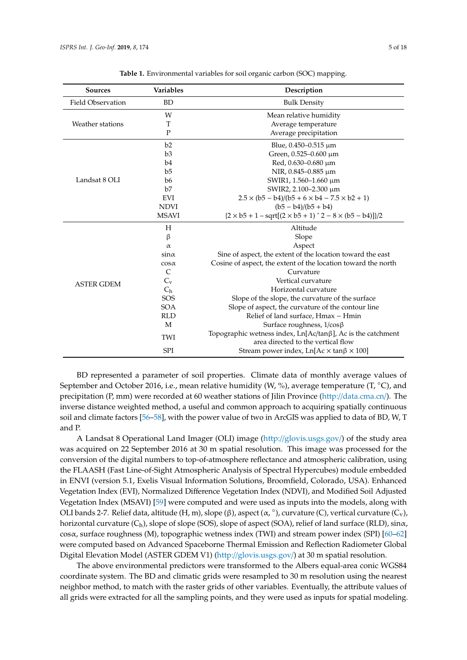<span id="page-6-0"></span>

| <b>Sources</b>           | <b>Variables</b> | Description                                                                                              |  |  |  |  |
|--------------------------|------------------|----------------------------------------------------------------------------------------------------------|--|--|--|--|
| <b>Field Observation</b> | <b>BD</b>        | <b>Bulk Density</b>                                                                                      |  |  |  |  |
|                          | W                | Mean relative humidity                                                                                   |  |  |  |  |
| Weather stations         | T                | Average temperature                                                                                      |  |  |  |  |
|                          | $\mathbf{P}$     | Average precipitation                                                                                    |  |  |  |  |
|                          | b2               | Blue, $0.450 - 0.515 \mu m$                                                                              |  |  |  |  |
|                          | b3               | Green, 0.525-0.600 µm                                                                                    |  |  |  |  |
|                          | b <sub>4</sub>   | Red, 0.630-0.680 µm                                                                                      |  |  |  |  |
|                          | b <sub>5</sub>   | NIR, 0.845-0.885 µm                                                                                      |  |  |  |  |
| Landsat 8 OLI            | b6               | SWIR1, 1.560-1.660 μm                                                                                    |  |  |  |  |
|                          | b7               | SWIR2, 2.100-2.300 μm                                                                                    |  |  |  |  |
|                          | EVI              | $2.5 \times (b5 - b4)/(b5 + 6 \times b4 - 7.5 \times b2 + 1)$                                            |  |  |  |  |
|                          | <b>NDVI</b>      | $(b5 - b4)/(b5 + b4)$                                                                                    |  |  |  |  |
|                          | <b>MSAVI</b>     | ${2 \times b5 + 1 - sqrt[(2 \times b5 + 1)^2 - 8 \times (b5 - b4)]}/2$                                   |  |  |  |  |
|                          | H                | Altitude                                                                                                 |  |  |  |  |
|                          | $\beta$          | Slope                                                                                                    |  |  |  |  |
|                          | α                | Aspect                                                                                                   |  |  |  |  |
|                          | $\sin \alpha$    | Sine of aspect, the extent of the location toward the east                                               |  |  |  |  |
|                          | $cos \alpha$     | Cosine of aspect, the extent of the location toward the north                                            |  |  |  |  |
|                          | C                | Curvature                                                                                                |  |  |  |  |
| <b>ASTER GDEM</b>        | $C_{\rm v}$      | Vertical curvature                                                                                       |  |  |  |  |
|                          | $C_h$            | Horizontal curvature                                                                                     |  |  |  |  |
|                          | SOS              | Slope of the slope, the curvature of the surface                                                         |  |  |  |  |
|                          | <b>SOA</b>       | Slope of aspect, the curvature of the contour line                                                       |  |  |  |  |
|                          | <b>RLD</b>       | Relief of land surface, Hmax - Hmin                                                                      |  |  |  |  |
|                          | M                | Surface roughness, 1/cosβ                                                                                |  |  |  |  |
|                          | TWI              | Topographic wetness index, $Ln[Ac/tan\beta]$ , Ac is the catchment<br>area directed to the vertical flow |  |  |  |  |
|                          | <b>SPI</b>       | Stream power index, $Ln[Ac \times tan\beta \times 100]$                                                  |  |  |  |  |

**Table 1.** Environmental variables for soil organic carbon (SOC) mapping.

BD represented a parameter of soil properties. Climate data of monthly average values of September and October 2016, i.e., mean relative humidity (W, %), average temperature (T,  $^{\circ}$ C), and precipitation (P, mm) were recorded at 60 weather stations of Jilin Province (http://[data.cma.cn](http://data.cma.cn/)/). The inverse distance weighted method, a useful and common approach to acquiring spatially continuous soil and climate factors [\[56](#page-18-9)[–58\]](#page-18-10), with the power value of two in ArcGIS was applied to data of BD, W, T and P.

A Landsat 8 Operational Land Imager (OLI) image (http://[glovis.usgs.gov](http://glovis.usgs.gov/)/) of the study area was acquired on 22 September 2016 at 30 m spatial resolution. This image was processed for the conversion of the digital numbers to top-of-atmosphere reflectance and atmospheric calibration, using the FLAASH (Fast Line-of-Sight Atmospheric Analysis of Spectral Hypercubes) module embedded in ENVI (version 5.1, Exelis Visual Information Solutions, Broomfield, Colorado, USA). Enhanced Vegetation Index (EVI), Normalized Difference Vegetation Index (NDVI), and Modified Soil Adjusted Vegetation Index (MSAVI) [\[59\]](#page-18-11) were computed and were used as inputs into the models, along with OLI bands 2-7. Relief data, altitude (H, m), slope (β), aspect (α, °), curvature (C), vertical curvature (C<sub>v</sub>), horizontal curvature  $(C_h)$ , slope of slope (SOS), slope of aspect (SOA), relief of land surface (RLD), sin $\alpha$ , cosα, surface roughness (M), topographic wetness index (TWI) and stream power index (SPI) [\[60–](#page-18-12)[62\]](#page-18-13) were computed based on Advanced Spaceborne Thermal Emission and Reflection Radiometer Global Digital Elevation Model (ASTER GDEM V1) (http://[glovis.usgs.gov](http://glovis.usgs.gov/)/) at 30 m spatial resolution.

The above environmental predictors were transformed to the Albers equal-area conic WGS84 coordinate system. The BD and climatic grids were resampled to 30 m resolution using the nearest neighbor method, to match with the raster grids of other variables. Eventually, the attribute values of all grids were extracted for all the sampling points, and they were used as inputs for spatial modeling.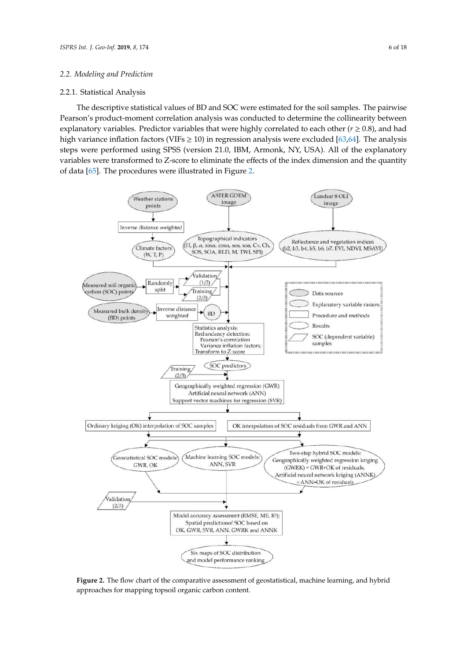#### 2.2.1. Statistical Analysis

*2.2. Modeling and Prediction*

2.2.1. Statistical Analysis

The descriptive statistical values of BD and SOC were estimated for the soil samples. The pairwise Pearson's product-moment correlation analysis was conducted to determine the collinearity between explanatory variables. Predictor variables that were highly correlated to each other ( $r \ge 0.8$ ), and had bigh variance inflation factors (VIFs ≥ 10) in regression analysis were excluded [\[63,](#page-18-14)[64\]](#page-18-15). The analysis were regard to each other (*r* ≥ 0.8), and nad steps were performed using SPSS (version 21.0, IBM, Armonk, NY, USA). All of the explanatory variables were transformed to  $Z$ -score to eliminate the effects of the index dimension and the quantity  $\,$ of data [\[65\]](#page-18-16). The procedures were illustrated in Figure [2.](#page-7-0)  $\frac{1}{2}$  high variance inflation factors (VIFs  $\geq$  10) in regression analysis were excluded [03,64]. The analysis

<span id="page-7-0"></span>

**Figure 2.** The flow chart of the comparative assessment of geostatistical, machine learning, and hybrid **Figure 2.** The flow chart of the comparative assessment of geostatistical, machine learning, and hybrid approaches for mapping topsoil organic carbon content. approaches for mapping topsoil organic carbon content.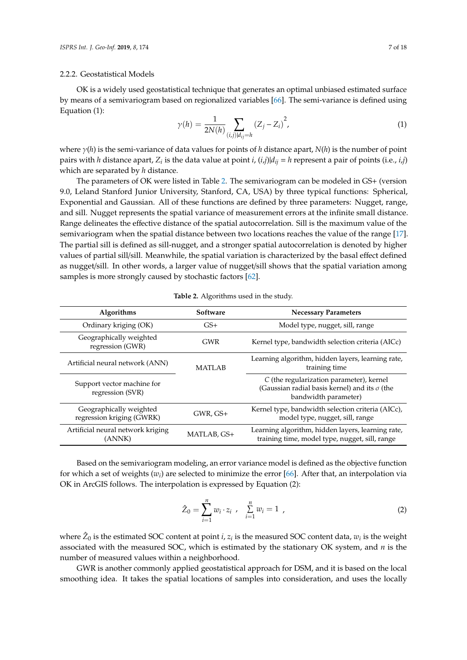#### 2.2.2. Geostatistical Models

OK is a widely used geostatistical technique that generates an optimal unbiased estimated surface by means of a semivariogram based on regionalized variables [\[66\]](#page-18-17). The semi-variance is defined using Equation (1):

$$
\gamma(h) = \frac{1}{2N(h)} \sum_{(i,j)|d_{ij} = h} (Z_j - Z_i)^2,
$$
\n(1)

where γ(*h*) is the semi-variance of data values for points of *h* distance apart, *N*(*h*) is the number of point pairs with *h* distance apart, *Z<sup>i</sup>* is the data value at point *i*, (*i*,*j*)|*dij* = *h* represent a pair of points (i.e., *i*,*j*) which are separated by *h* distance.

The parameters of OK were listed in Table [2.](#page-8-0) The semivariogram can be modeled in GS+ (version 9.0, Leland Stanford Junior University, Stanford, CA, USA) by three typical functions: Spherical, Exponential and Gaussian. All of these functions are defined by three parameters: Nugget, range, and sill. Nugget represents the spatial variance of measurement errors at the infinite small distance. Range delineates the effective distance of the spatial autocorrelation. Sill is the maximum value of the semivariogram when the spatial distance between two locations reaches the value of the range [\[17\]](#page-16-14). The partial sill is defined as sill-nugget, and a stronger spatial autocorrelation is denoted by higher values of partial sill/sill. Meanwhile, the spatial variation is characterized by the basal effect defined as nugget/sill. In other words, a larger value of nugget/sill shows that the spatial variation among samples is more strongly caused by stochastic factors [\[62\]](#page-18-13).

| Table 2. Algorithms used in the study. |
|----------------------------------------|
|----------------------------------------|

<span id="page-8-0"></span>

| <b>Algorithms</b>                                    | Software      | <b>Necessary Parameters</b>                                                                                              |  |  |
|------------------------------------------------------|---------------|--------------------------------------------------------------------------------------------------------------------------|--|--|
| Ordinary kriging (OK)                                | $GS+$         | Model type, nugget, sill, range                                                                                          |  |  |
| Geographically weighted<br>regression (GWR)          | <b>GWR</b>    | Kernel type, bandwidth selection criteria (AICc)                                                                         |  |  |
| Artificial neural network (ANN)                      | <b>MATLAB</b> | Learning algorithm, hidden layers, learning rate,<br>training time                                                       |  |  |
| Support vector machine for<br>regression (SVR)       |               | C (the regularization parameter), kernel<br>(Gaussian radial basis kernel) and its $\sigma$ (the<br>bandwidth parameter) |  |  |
| Geographically weighted<br>regression kriging (GWRK) | $GWR$ , $GS+$ | Kernel type, bandwidth selection criteria (AICc),<br>model type, nugget, sill, range                                     |  |  |
| Artificial neural network kriging<br>(ANNK)          | MATLAB, GS+   | Learning algorithm, hidden layers, learning rate,<br>training time, model type, nugget, sill, range                      |  |  |

Based on the semivariogram modeling, an error variance model is defined as the objective function for which a set of weights (*w<sup>i</sup>* ) are selected to minimize the error [\[66\]](#page-18-17). After that, an interpolation via OK in ArcGIS follows. The interpolation is expressed by Equation (2):

$$
\hat{Z}_0 = \sum_{i=1}^n w_i \cdot z_i \ , \quad \sum_{i=1}^n w_i = 1 \ , \tag{2}
$$

where  $\hat{Z}_0$  is the estimated SOC content at point *i*,  $z_i$  is the measured SOC content data,  $w_i$  is the weight associated with the measured SOC, which is estimated by the stationary OK system, and *n* is the number of measured values within a neighborhood.

GWR is another commonly applied geostatistical approach for DSM, and it is based on the local smoothing idea. It takes the spatial locations of samples into consideration, and uses the locally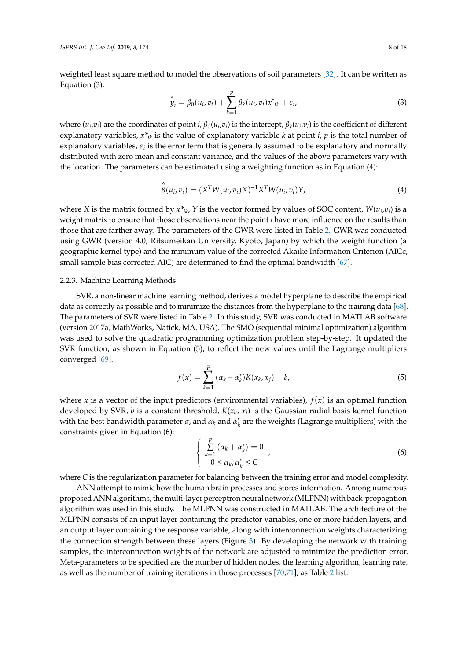weighted least square method to model the observations of soil parameters [\[32\]](#page-17-6). It can be written as Equation (3):

$$
\hat{y}_i = \beta_0(u_i, v_i) + \sum_{k=1}^p \beta_k(u_i, v_i) x^*_{ik} + \varepsilon_i,
$$
\n(3)

where  $(u_i, v_i)$  are the coordinates of point *i*,  $\beta_0(u_i, v_i)$  is the intercept,  $\beta_k(u_i, v_i)$  is the coefficient of different explanatory variables,  $x^*$ <sub>*ik*</sub> is the value of explanatory variable *k* at point *i*, *p* is the total number of explanatory variables,  $\varepsilon_i$  is the error term that is generally assumed to be explanatory and normally distributed with zero mean and constant variance, and the values of the above parameters vary with the location. The parameters can be estimated using a weighting function as in Equation (4):

$$
\hat{\beta}(u_i, v_i) = (X^T W(u_i, v_i) X)^{-1} X^T W(u_i, v_i) Y,
$$
\n(4)

where *X* is the matrix formed by  $x^*_{ik}$ , *Y* is the vector formed by values of SOC content,  $W(u_i, v_i)$  is a weight matrix to ensure that those observations near the point *i* have more influence on the results than those that are farther away. The parameters of the GWR were listed in Table [2.](#page-8-0) GWR was conducted using GWR (version 4.0, Ritsumeikan University, Kyoto, Japan) by which the weight function (a geographic kernel type) and the minimum value of the corrected Akaike Information Criterion (AICc, small sample bias corrected AIC) are determined to find the optimal bandwidth [\[67\]](#page-18-18).

#### 2.2.3. Machine Learning Methods

SVR, a non-linear machine learning method, derives a model hyperplane to describe the empirical data as correctly as possible and to minimize the distances from the hyperplane to the training data [\[68\]](#page-18-19). The parameters of SVR were listed in Table [2.](#page-8-0) In this study, SVR was conducted in MATLAB software (version 2017a, MathWorks, Natick, MA, USA). The SMO (sequential minimal optimization) algorithm was used to solve the quadratic programming optimization problem step-by-step. It updated the SVR function, as shown in Equation (5), to reflect the new values until the Lagrange multipliers converged [\[69\]](#page-18-20).

$$
f(x) = \sum_{k=1}^{P} (\alpha_k - \alpha_k^*) K(x_k, x_j) + b,\tag{5}
$$

where *x* is a vector of the input predictors (environmental variables),  $f(x)$  is an optimal function developed by SVR, *b* is a constant threshold, *K*(*x<sup>k</sup>* , *x<sup>j</sup>* ) is the Gaussian radial basis kernel function with the best bandwidth parameter  $\sigma$ , and  $\alpha_k$  and  $\alpha_k^*$ *k* are the weights (Lagrange multipliers) with the constraints given in Equation (6):

$$
\begin{cases} \sum_{k=1}^{p} (\alpha_k + \alpha_k^*) = 0\\ 0 \le \alpha_k, \alpha_k^* \le C \end{cases}
$$
\n(6)

where *C* is the regularization parameter for balancing between the training error and model complexity.

ANN attempt to mimic how the human brain processes and stores information. Among numerous proposed ANN algorithms, the multi-layer perceptron neural network (MLPNN) with back-propagation algorithm was used in this study. The MLPNN was constructed in MATLAB. The architecture of the MLPNN consists of an input layer containing the predictor variables, one or more hidden layers, and an output layer containing the response variable, along with interconnection weights characterizing the connection strength between these layers (Figure [3\)](#page-10-0). By developing the network with training samples, the interconnection weights of the network are adjusted to minimize the prediction error. Meta-parameters to be specified are the number of hidden nodes, the learning algorithm, learning rate, as well as the number of training iterations in those processes [\[70](#page-18-21)[,71\]](#page-19-0), as Table [2](#page-8-0) list.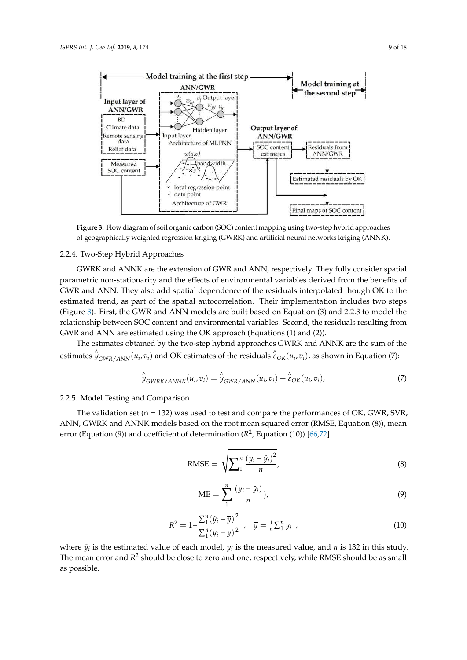<span id="page-10-0"></span>

**Figure 3.** Flow diagram of soil organic carbon (SOC) content mapping using two-step hybrid **Figure 3.** Flow diagram of soil organic carbon (SOC) content mapping using two-step hybrid approaches of geographically weighted regression kriging (GWRK) and artificial neural networks kriging (ANNK).

#### 2.2.4. Two-Step Hybrid Approaches

GWRK and ANNK are the extension of GWR and ANN, respectively. They fully consider spatial parametric non-stationarity and the effects of environmental variables derived from the benefits of GWR and ANN. They also add spatial dependence of the residuals interpolated though OK to the estimated trend, as part of the spatial autocorrelation. Their implementation includes two steps (Figure [3\)](#page-10-0). First, the GWR and ANN models are built based on Equation (3) and 2.2.3 to model the relationship between SOC content and environmental variables. Second, the residuals resulting from GWR and ANN are estimated using the OK approach (Equations (1) and (2)).

 $\mathbf{F}_{\text{max}}$  and  $\mathbf{F}_{\text{max}}$  and  $\mathbf{F}_{\text{max}}$  and  $\mathbf{F}_{\text{max}}$  approach (Equations (1) and (2)). The estimates obtained by the two-step hybrid approaches GWRK and ANNK are the sum of the estimates  $\hat{y}_{GWR/ANN}(u_i, v_i)$  and OK estimates of the residuals  $\hat{\epsilon}_{OK}(u_i, v_i)$ , as shown in Equation (7):

$$
\hat{\mathcal{Y}}_{\text{GWRK/ANNK}}(u_i, v_i) = \hat{\mathcal{Y}}_{\text{GWR/ANN}}(u_i, v_i) + \hat{\varepsilon}_{\text{OK}}(u_i, v_i),
$$
\n(7)

#### 2.2.5. Model Testing and Comparison

 $2.5$  Model Testing and Comparison and Comparison and Comparison and Comparison and Comparison and Comparison and Comparison and Comparison and Comparison and Comparison and Comparison and Comparison and Comparison and Co error (Equation (9)) and coefficient of determination  $(R^2, E$ quation (10)) [\[66,](#page-18-17)[72\]](#page-19-1). Annik models based on the root mean squared error (RMSE, Equation (8)), mean squared error (RMSE, Equation (8) The validation set ( $n = 132$ ) was used to test and compare the performances of OK, GWR, SVR, ANN, GWRK and ANNK models based on the root mean squared error (RMSE, Equation (8)), mean

$$
RMSE = \sqrt{\sum_{1}^{n} \frac{(y_i - \hat{y}_i)^2}{n}},
$$
\n(8)

$$
ME = \sum_{1}^{n} \frac{(y_i - \hat{y}_i)}{n}),
$$
\n(9)

$$
R^{2} = 1 - \frac{\sum_{1}^{n} (\hat{y}_{i} - \overline{y})^{2}}{\sum_{1}^{n} (y_{i} - \overline{y})^{2}}, \quad \overline{y} = \frac{1}{n} \sum_{1}^{n} y_{i}, \qquad (10)
$$

where  $\hat{y}_i$  is the estimated value of each model,  $y_i$  is the measured value, and *n* is 132 in this study. The mean error and  $R^2$  should be close to zero and one, respectively, while RMSE should be as small study. The mean error and  $R^2$  showledge to zero and one, respectively, which respectively, which respectively, which respectively, which respectively, which respectively, which respectively, which respectively, which res as possible.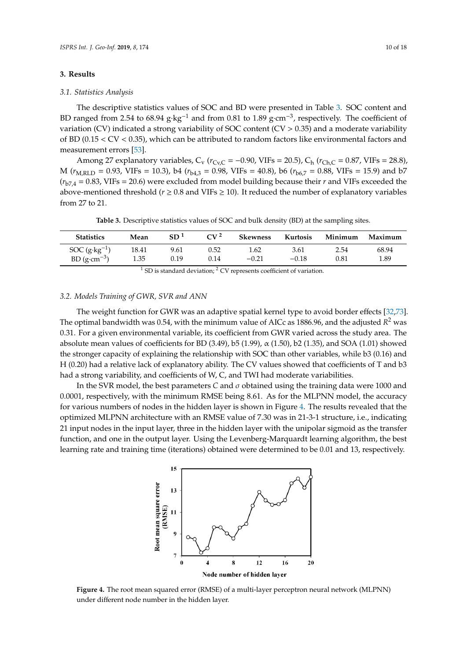#### **3. Results** *ISPRS Int. J. Geo-Inf.* **2019**, *8*, 174 10 of 18

#### 3.1. *Statistics Analysis*

The descriptive statistics values of SOC and BD were presented in Table [3.](#page-11-0) SOC content and BD ranged from 2.54 to 68.94  $g$ ⋅ $kg^{-1}$  and from 0.81 to 1.89  $g$ ⋅ $cm^{-3}$ , respectively. The coefficient of variation (CV) indicated a strong variability of SOC content  $(CV > 0.35)$  and a moderate variability of BD (0.15 < CV < 0.35), which can be attributed to random factors like environmental factors and measurement errors [\[53\]](#page-18-6).

Among 27 explanatory variables,  $C_v$  ( $r_{Cv,C}$  = -0.90, VIFs = 20.5),  $C_h$  ( $r_{Ch,C}$  = 0.87, VIFs = 28.8), M ( $r_{M,RLD} = 0.93$ , VIFs = 10.3), b4 ( $r_{b4,3} = 0.98$ , VIFs = 40.8), b6 ( $r_{b6,7} = 0.88$ , VIFs = 15.9) and b7  $(r<sub>b7,4</sub> = 0.83, VIFs = 20.6)$  were excluded from model building because their *r* and VIFs exceeded the above-mentioned threshold ( $r \ge 0.8$  and VIFs  $\ge 10$ ). It reduced the number of explanatory variables from 27 to 21.

Table 3. Descriptive statistics values of SOC and bulk density (BD) at the sampling sites.

<span id="page-11-0"></span>

| <b>Statistics</b>       | Mean  | SD <sup>1</sup> | $CV^2$ | Skewness | Kurtosis | Minimum | Maximum |
|-------------------------|-------|-----------------|--------|----------|----------|---------|---------|
| SOC $(g \cdot kg^{-1})$ | 18.41 | 9.61            | 0.52   | 1.62     | 3.61     | 2.54    | 68.94   |
| BD $(g\cdot cm^{-3})$   | 1.35  | 0.19            | 0.14   | $-0.21$  | $-0.18$  | 0.81    | 1.89    |

<sup>1</sup> SD is standard deviation; <sup>2</sup> CV represents coefficient of variation. of the statistical deviation,  $\overline{V}$  represents coefficient of variables

#### *3.2. Models Training of GWR, SVR and ANN*

*3.2. Models Training of GWR, SVR and ANN*

The weight function for GWR was an adaptive spatial kernel type to avoid border effects [\[32,](#page-17-6)[73\]](#page-19-2). The optimal bandwidth was 0.54, with the minimum value of AICc as 1886.96, and the adjusted  $\overline{R}^2$  was 0.31. For a given environmental variable, its coefficient from GWR varied across the study area. The absolute mean values of coefficients for BD (3.49), b5 (1.99),  $\alpha$  (1.50), b2 (1.35), and SOA (1.01) showed the stronger capacity of explaining the relationship with SOC than other variables, while b3 (0.16) and  $\frac{1}{2}$ H (0.20) had a relative lack of explanatory ability. The CV values showed that coefficients of T and b3  $\,$ had a strong variability, and coefficients of W, C, and TWI had moderate variabilities. The absolute mean values of coefficients for BD (3.49), b5 (1.99),  $\alpha$  (1.50),  $\alpha$  (1.50), and SOA (1.01) show

<span id="page-11-1"></span>In the SVR model, the best parameters *C* and σ obtained using the training data were 1000 and In the SVR model, the best parameters *C* and *σ* obtained using the training data were 1000 and 0.0001, respectively, with the minimum RMSE being 8.61. As for the MLPNN model, the accuracy for various numbers of nodes in the hidden layer is shown in Figure 4. The results revealed that the various numbers of nodes in the hidden layer is shown in Figure 4. [T](#page-11-1)he results revealed that the optimized MLPNN architecture with an RMSE value of 7.30 was in 21-3-1 structure, i.e., indicating optimized MLPNN architecture with an RMSE value of 7.30 was in 21-3-1 structure, i.e., indicating 21 input nodes in the input layer, three in the hidden layer with the unipolar sigmoid as the transfer 21 input nodes in the input layer, three in the hidden layer with the unipolar sigmoid as the transfer function, and one in the output layer. Using the Levenberg-Marquardt learning algorithm, the best function, and one in the output layer. Using the Levenberg-Marquardt learning algorithm, the best learning rate and training time (iterations) obtained were determined to be 0.01 and 13, respectively. learning rate and training time (iterations) obtained were determined to be 0.01 and 13, respectively.



**Figure 4.** The root mean squared error (RMSE) of a multi-layer perceptron neural network (MLPNN) **Figure 4.** The root mean squared error (RMSE) of a multi-layer perceptron neural network (MLPNN) under different node number in the hidden layer. under different node number in the hidden layer.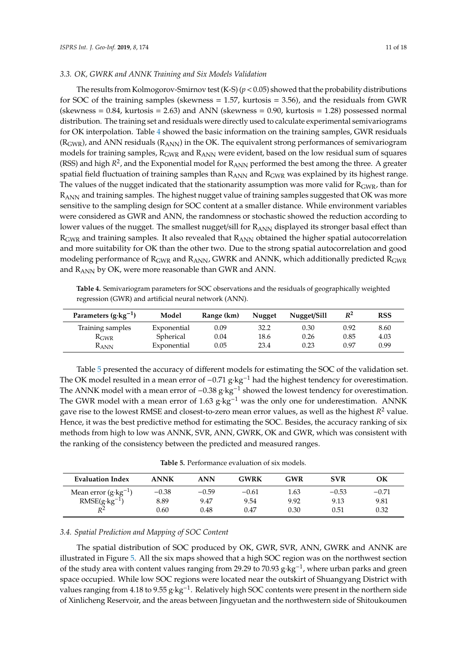The results from Kolmogorov-Smirnov test  $(K-S)$  ( $p < 0.05$ ) showed that the probability distributions for SOC of the training samples (skewness = 1.57, kurtosis = 3.56), and the residuals from GWR (skewness =  $0.84$ , kurtosis =  $2.63$ ) and ANN (skewness =  $0.90$ , kurtosis =  $1.28$ ) possessed normal distribution. The training set and residuals were directly used to calculate experimental semivariograms for OK interpolation. Table [4](#page-12-0) showed the basic information on the training samples, GWR residuals  $(R<sub>GWR</sub>)$ , and ANN residuals  $(R<sub>ANN</sub>)$  in the OK. The equivalent strong performances of semivariogram models for training samples,  $R_{\text{GWR}}$  and  $R_{\text{ANN}}$  were evident, based on the low residual sum of squares (RSS) and high  $R^2$ , and the Exponential model for  $R_{\text{ANN}}$  performed the best among the three. A greater spatial field fluctuation of training samples than  $R_{ANN}$  and  $R_{GWR}$  was explained by its highest range. The values of the nugget indicated that the stationarity assumption was more valid for  $R_{GWR}$ , than for R<sub>ANN</sub> and training samples. The highest nugget value of training samples suggested that OK was more sensitive to the sampling design for SOC content at a smaller distance. While environment variables were considered as GWR and ANN, the randomness or stochastic showed the reduction according to lower values of the nugget. The smallest nugget/sill for  $R_{ANN}$  displayed its stronger basal effect than R<sub>GWR</sub> and training samples. It also revealed that R<sub>ANN</sub> obtained the higher spatial autocorrelation and more suitability for OK than the other two. Due to the strong spatial autocorrelation and good modeling performance of  $R_{\text{GWR}}$  and  $R_{\text{ANN}}$ , GWRK and ANNK, which additionally predicted  $R_{\text{GWR}}$ and RANN by OK, were more reasonable than GWR and ANN.

<span id="page-12-0"></span>**Table 4.** Semivariogram parameters for SOC observations and the residuals of geographically weighted regression (GWR) and artificial neural network (ANN).

| Parameters $(g \cdot kg^{-1})$ | Model       | Range (km) | Nugget | Nugget/Sill | $\mathbb{R}^2$ | <b>RSS</b> |
|--------------------------------|-------------|------------|--------|-------------|----------------|------------|
| Training samples               | Exponential | 0.09       | 32.2   | 0.30        | 0.92           | 8.60       |
| $R_{\rm GWR}$                  | Spherical   | 0.04       | 18.6   | 0.26        | 0.85           | 4.03       |
| $R_{\rm ANN}$                  | Exponential | 0.05       | 23.4   | 0.23        | 0.97           | 0.99       |

Table [5](#page-12-1) presented the accuracy of different models for estimating the SOC of the validation set. The OK model resulted in a mean error of -0.71 g⋅kg<sup>-1</sup> had the highest tendency for overestimation. The ANNK model with a mean error of  $-0.38$  g⋅kg<sup>-1</sup> showed the lowest tendency for overestimation. The GWR model with a mean error of 1.63 g·kg<sup>-1</sup> was the only one for underestimation. ANNK gave rise to the lowest RMSE and closest-to-zero mean error values, as well as the highest  $R^2$  value. Hence, it was the best predictive method for estimating the SOC. Besides, the accuracy ranking of six methods from high to low was ANNK, SVR, ANN, GWRK, OK and GWR, which was consistent with the ranking of the consistency between the predicted and measured ranges.

**Table 5.** Performance evaluation of six models.

<span id="page-12-1"></span>

| <b>Evaluation Index</b>                | <b>ANNK</b> | <b>ANN</b> | <b>GWRK</b> | GWR  | <b>SVR</b> | OК      |
|----------------------------------------|-------------|------------|-------------|------|------------|---------|
| Mean error $(g \cdot kg^{-1})$         | $-0.38$     | $-0.59$    | $-0.61$     | 1.63 | $-0.53$    | $-0.71$ |
| RMSE( $g$ ·kg <sup>-1</sup> )<br>$R^2$ | 8.89        | 9.47       | 9.54        | 9.92 | 9.13       | 9.81    |
|                                        | 0.60        | 0.48       | 0.47        | 0.30 | 0.51       | 0.32    |

#### *3.4. Spatial Prediction and Mapping of SOC Content*

The spatial distribution of SOC produced by OK, GWR, SVR, ANN, GWRK and ANNK are illustrated in Figure [5.](#page-13-0) All the six maps showed that a high SOC region was on the northwest section of the study area with content values ranging from 29.29 to 70.93 g·kg−<sup>1</sup> , where urban parks and green space occupied. While low SOC regions were located near the outskirt of Shuangyang District with values ranging from 4.18 to 9.55 g·kg−<sup>1</sup> . Relatively high SOC contents were present in the northern side of Xinlicheng Reservoir, and the areas between Jingyuetan and the northwestern side of Shitoukoumen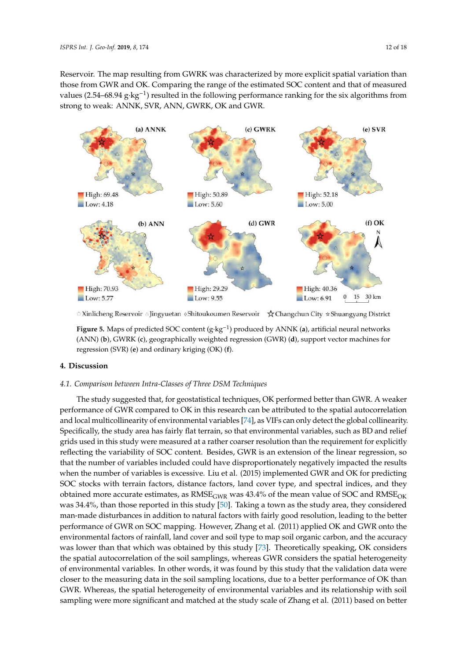Reservoir. The map resulting from GWRK was characterized by more explicit spatial variation than *ISPRS Int. J. Geo-Inf.* **2019**, *8*, 174 12 of 18 those from GWR and OK. Comparing the range of the estimated SOC content and that of measured values (2.54–68.94 g·kg<sup>-1</sup>) resulted in the following performance ranking for the six algorithms from strong to weak: ANNK, SVR, ANN, GWRK, OK and GWR.

<span id="page-13-0"></span>

© Xinlicheng Reservoir △ Jingyuetan ◊ Shitoukoumen Reservoir  $\quad \bigstar$  Changchun City ☆ Shuangyang District

Figure 5. Maps of predicted SOC content  $({\rm g}\cdot{\rm kg}^{-1})$  produced by ANNK (a), artificial neural networks (ANN) (b), GWRK (c), geographically weighted regression (GWR) (d), support vector machines for regression (SVR) (**e**) and ordinary kriging (OK) (**f**). regression (SVR) (**e**) and ordinary kriging (OK) (**f**).

## **4. Discussion 4. Discussion**

## *4.1. Comparison between Intra-Classes of Three DSM Techniques 4.1. Comparison between Intra-Classes of Three DSM Techniques*

The study suggested that, for geostatistical techniques, OK performed better than GWR. A The study suggested that, for geostatistical techniques, OK performed better than GWR. A weaker performance of GWR compared to OK in this research can be attributed to the spatial autocorrelation and local multicollinearity of environmental variables [\[74\]](#page-19-3), as VIFs can only detect the global collinearity. Specifically, the study area has fairly flat terrain, so that environmental variables, such as BD and relief grids used in this study were measured at a rather coarser resolution than the requirement for explicitly reflecting the variability of SOC content. Besides, GWR is an extension of the linear regression, so that the number of variables included could have disproportionately negatively impacted the results when the number of variables is excessive. Liu et al. (2015) implemented GWR and OK for predicting SOC stocks with terrain factors, distance factors, land cover type, and spectral indices, and they obtained more accurate estimates, as  $RMSE<sub>GWR</sub>$  was 43.4% of the mean value of SOC and  $RMSE<sub>OK</sub>$ was 34.4%, than those reported in this study [\[50\]](#page-18-4). Taking a town as the study area, they considered man-made disturbances in addition to natural factors with fairly good resolution, leading to the better fair fairly good resolution, and the better performance of  $G$ CMR on SOC mapping. However,  $\frac{1}{2}$  ,  $\frac{1}{2}$  ,  $\frac{1}{2}$  ,  $\frac{1}{2}$  ,  $\frac{1}{2}$  ,  $\frac{1}{2}$  ,  $\frac{1}{2}$  ,  $\frac{1}{2}$  ,  $\frac{1}{2}$  ,  $\frac{1}{2}$  ,  $\frac{1}{2}$  performance of GWR on SOC mapping. However, Zhang et al. (2011) applied OK and GWR onto the environmental factors of rainfall, land cover and soil type to map soil organic carbon, and the accuracy was lower than that which was obtained by this study [\[73\]](#page-19-2). Theoretically speaking, OK considers the spatial autocorrelation of the soil samplings, whereas GWR considers the spatial heterogeneity of environmental variables. In other words, it was found by this study that the validation data were closer to the measuring data in the soil sampling locations, due to a better performance of OK than GWR. Whereas, the spatial heterogeneity of environmental variables and its relationship with soil sampling were more significant and matched at the study scale of Zhang et al. (2011) based on better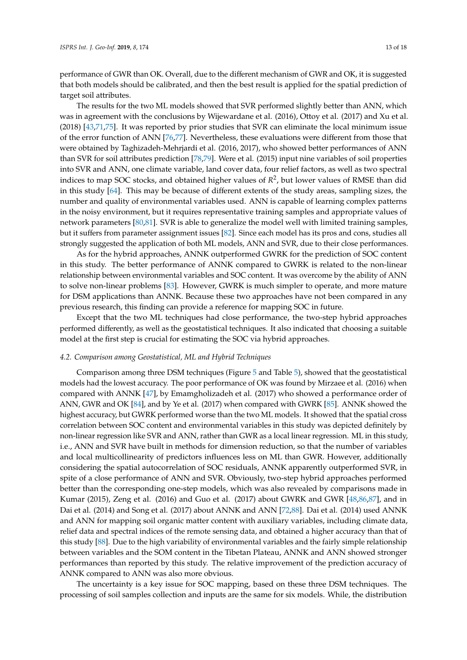performance of GWR than OK. Overall, due to the different mechanism of GWR and OK, it is suggested that both models should be calibrated, and then the best result is applied for the spatial prediction of target soil attributes.

The results for the two ML models showed that SVR performed slightly better than ANN, which was in agreement with the conclusions by Wijewardane et al. (2016), Ottoy et al. (2017) and Xu et al. (2018) [\[43,](#page-17-16)[71,](#page-19-0)[75\]](#page-19-4). It was reported by prior studies that SVR can eliminate the local minimum issue of the error function of ANN [\[76,](#page-19-5)[77\]](#page-19-6). Nevertheless, these evaluations were different from those that were obtained by Taghizadeh-Mehrjardi et al. (2016, 2017), who showed better performances of ANN than SVR for soil attributes prediction [\[78,](#page-19-7)[79\]](#page-19-8). Were et al. (2015) input nine variables of soil properties into SVR and ANN, one climate variable, land cover data, four relief factors, as well as two spectral indices to map SOC stocks, and obtained higher values of *R* 2 , but lower values of RMSE than did in this study [\[64\]](#page-18-15). This may be because of different extents of the study areas, sampling sizes, the number and quality of environmental variables used. ANN is capable of learning complex patterns in the noisy environment, but it requires representative training samples and appropriate values of network parameters [\[80,](#page-19-9)[81\]](#page-19-10). SVR is able to generalize the model well with limited training samples, but it suffers from parameter assignment issues [\[82\]](#page-19-11). Since each model has its pros and cons, studies all strongly suggested the application of both ML models, ANN and SVR, due to their close performances.

As for the hybrid approaches, ANNK outperformed GWRK for the prediction of SOC content in this study. The better performance of ANNK compared to GWRK is related to the non-linear relationship between environmental variables and SOC content. It was overcome by the ability of ANN to solve non-linear problems [\[83\]](#page-19-12). However, GWRK is much simpler to operate, and more mature for DSM applications than ANNK. Because these two approaches have not been compared in any previous research, this finding can provide a reference for mapping SOC in future.

Except that the two ML techniques had close performance, the two-step hybrid approaches performed differently, as well as the geostatistical techniques. It also indicated that choosing a suitable model at the first step is crucial for estimating the SOC via hybrid approaches.

#### *4.2. Comparison among Geostatistical, ML and Hybrid Techniques*

Comparison among three DSM techniques (Figure [5](#page-13-0) and Table [5\)](#page-12-1), showed that the geostatistical models had the lowest accuracy. The poor performance of OK was found by Mirzaee et al. (2016) when compared with ANNK [\[47\]](#page-18-1), by Emamgholizadeh et al. (2017) who showed a performance order of ANN, GWR and OK [\[84\]](#page-19-13), and by Ye et al. (2017) when compared with GWRK [\[85\]](#page-19-14). ANNK showed the highest accuracy, but GWRK performed worse than the two ML models. It showed that the spatial cross correlation between SOC content and environmental variables in this study was depicted definitely by non-linear regression like SVR and ANN, rather than GWR as a local linear regression. ML in this study, i.e., ANN and SVR have built in methods for dimension reduction, so that the number of variables and local multicollinearity of predictors influences less on ML than GWR. However, additionally considering the spatial autocorrelation of SOC residuals, ANNK apparently outperformed SVR, in spite of a close performance of ANN and SVR. Obviously, two-step hybrid approaches performed better than the corresponding one-step models, which was also revealed by comparisons made in Kumar (2015), Zeng et al. (2016) and Guo et al. (2017) about GWRK and GWR [\[48,](#page-18-2)[86,](#page-19-15)[87\]](#page-19-16), and in Dai et al. (2014) and Song et al. (2017) about ANNK and ANN [\[72](#page-19-1)[,88\]](#page-19-17). Dai et al. (2014) used ANNK and ANN for mapping soil organic matter content with auxiliary variables, including climate data, relief data and spectral indices of the remote sensing data, and obtained a higher accuracy than that of this study [\[88\]](#page-19-17). Due to the high variability of environmental variables and the fairly simple relationship between variables and the SOM content in the Tibetan Plateau, ANNK and ANN showed stronger performances than reported by this study. The relative improvement of the prediction accuracy of ANNK compared to ANN was also more obvious.

The uncertainty is a key issue for SOC mapping, based on these three DSM techniques. The processing of soil samples collection and inputs are the same for six models. While, the distribution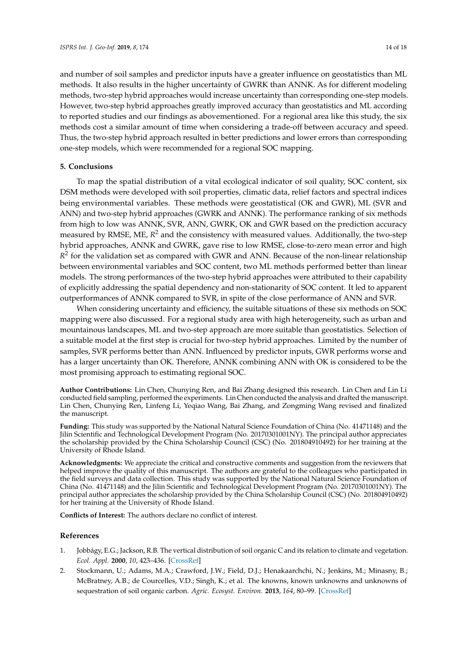and number of soil samples and predictor inputs have a greater influence on geostatistics than ML methods. It also results in the higher uncertainty of GWRK than ANNK. As for different modeling methods, two-step hybrid approaches would increase uncertainty than corresponding one-step models. However, two-step hybrid approaches greatly improved accuracy than geostatistics and ML according to reported studies and our findings as abovementioned. For a regional area like this study, the six methods cost a similar amount of time when considering a trade-off between accuracy and speed. Thus, the two-step hybrid approach resulted in better predictions and lower errors than corresponding one-step models, which were recommended for a regional SOC mapping.

#### **5. Conclusions**

To map the spatial distribution of a vital ecological indicator of soil quality, SOC content, six DSM methods were developed with soil properties, climatic data, relief factors and spectral indices being environmental variables. These methods were geostatistical (OK and GWR), ML (SVR and ANN) and two-step hybrid approaches (GWRK and ANNK). The performance ranking of six methods from high to low was ANNK, SVR, ANN, GWRK, OK and GWR based on the prediction accuracy measured by RMSE, ME, R<sup>2</sup> and the consistency with measured values. Additionally, the two-step hybrid approaches, ANNK and GWRK, gave rise to low RMSE, close-to-zero mean error and high  $R^2$  for the validation set as compared with GWR and ANN. Because of the non-linear relationship between environmental variables and SOC content, two ML methods performed better than linear models. The strong performances of the two-step hybrid approaches were attributed to their capability of explicitly addressing the spatial dependency and non-stationarity of SOC content. It led to apparent outperformances of ANNK compared to SVR, in spite of the close performance of ANN and SVR.

When considering uncertainty and efficiency, the suitable situations of these six methods on SOC mapping were also discussed. For a regional study area with high heterogeneity, such as urban and mountainous landscapes, ML and two-step approach are more suitable than geostatistics. Selection of a suitable model at the first step is crucial for two-step hybrid approaches. Limited by the number of samples, SVR performs better than ANN. Influenced by predictor inputs, GWR performs worse and has a larger uncertainty than OK. Therefore, ANNK combining ANN with OK is considered to be the most promising approach to estimating regional SOC.

**Author Contributions:** Lin Chen, Chunying Ren, and Bai Zhang designed this research. Lin Chen and Lin Li conducted field sampling, performed the experiments. Lin Chen conducted the analysis and drafted the manuscript. Lin Chen, Chunying Ren, Linfeng Li, Yeqiao Wang, Bai Zhang, and Zongming Wang revised and finalized the manuscript.

**Funding:** This study was supported by the National Natural Science Foundation of China (No. 41471148) and the Jilin Scientific and Technological Development Program (No. 20170301001NY). The principal author appreciates the scholarship provided by the China Scholarship Council (CSC) (No. 201804910492) for her training at the University of Rhode Island.

**Acknowledgments:** We appreciate the critical and constructive comments and suggestion from the reviewers that helped improve the quality of this manuscript. The authors are grateful to the colleagues who participated in the field surveys and data collection. This study was supported by the National Natural Science Foundation of China (No. 41471148) and the Jilin Scientific and Technological Development Program (No. 20170301001NY). The principal author appreciates the scholarship provided by the China Scholarship Council (CSC) (No. 201804910492) for her training at the University of Rhode Island.

**Conflicts of Interest:** The authors declare no conflict of interest.

#### **References**

- <span id="page-15-0"></span>1. Jobbágy, E.G.; Jackson, R.B. The vertical distribution of soil organic C and its relation to climate and vegetation. *Ecol. Appl.* **2000**, *10*, 423–436. [\[CrossRef\]](http://dx.doi.org/10.1890/1051-0761(2000)010[0423:TVDOSO]2.0.CO;2)
- <span id="page-15-1"></span>2. Stockmann, U.; Adams, M.A.; Crawford, J.W.; Field, D.J.; Henakaarchchi, N.; Jenkins, M.; Minasny, B.; McBratney, A.B.; de Courcelles, V.D.; Singh, K.; et al. The knowns, known unknowns and unknowns of sequestration of soil organic carbon. *Agric. Ecosyst. Environ.* **2013**, *164*, 80–99. [\[CrossRef\]](http://dx.doi.org/10.1016/j.agee.2012.10.001)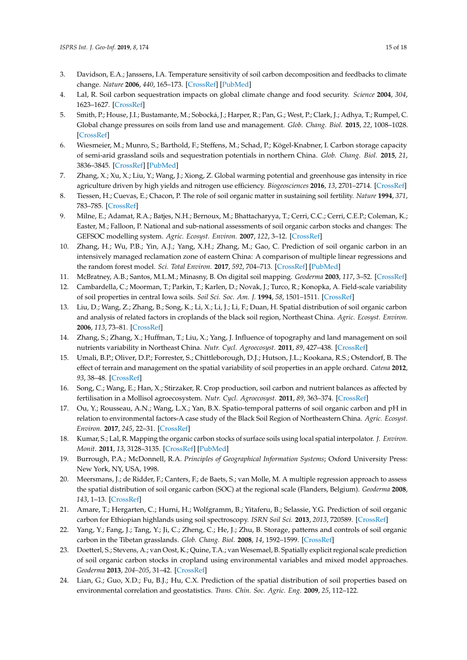- <span id="page-16-0"></span>3. Davidson, E.A.; Janssens, I.A. Temperature sensitivity of soil carbon decomposition and feedbacks to climate change. *Nature* **2006**, *440*, 165–173. [\[CrossRef\]](http://dx.doi.org/10.1038/nature04514) [\[PubMed\]](http://www.ncbi.nlm.nih.gov/pubmed/16525463)
- <span id="page-16-1"></span>4. Lal, R. Soil carbon sequestration impacts on global climate change and food security. *Science* **2004**, *304*, 1623–1627. [\[CrossRef\]](http://dx.doi.org/10.1126/science.1097396)
- <span id="page-16-2"></span>5. Smith, P.; House, J.I.; Bustamante, M.; Sobocká, J.; Harper, R.; Pan, G.; West, P.; Clark, J.; Adhya, T.; Rumpel, C. Global change pressures on soils from land use and management. *Glob. Chang. Biol.* **2015**, *22*, 1008–1028. [\[CrossRef\]](http://dx.doi.org/10.1111/gcb.13068)
- <span id="page-16-3"></span>6. Wiesmeier, M.; Munro, S.; Barthold, F.; Steffens, M.; Schad, P.; Kögel-Knabner, I. Carbon storage capacity of semi-arid grassland soils and sequestration potentials in northern China. *Glob. Chang. Biol.* **2015**, *21*, 3836–3845. [\[CrossRef\]](http://dx.doi.org/10.1111/gcb.12957) [\[PubMed\]](http://www.ncbi.nlm.nih.gov/pubmed/25916410)
- <span id="page-16-4"></span>7. Zhang, X.; Xu, X.; Liu, Y.; Wang, J.; Xiong, Z. Global warming potential and greenhouse gas intensity in rice agriculture driven by high yields and nitrogen use efficiency. *Biogeosciences* **2016**, *13*, 2701–2714. [\[CrossRef\]](http://dx.doi.org/10.5194/bg-13-2701-2016)
- <span id="page-16-5"></span>8. Tiessen, H.; Cuevas, E.; Chacon, P. The role of soil organic matter in sustaining soil fertility. *Nature* **1994**, *371*, 783–785. [\[CrossRef\]](http://dx.doi.org/10.1038/371783a0)
- <span id="page-16-6"></span>9. Milne, E.; Adamat, R.A.; Batjes, N.H.; Bernoux, M.; Bhattacharyya, T.; Cerri, C.C.; Cerri, C.E.P.; Coleman, K.; Easter, M.; Falloon, P. National and sub-national assessments of soil organic carbon stocks and changes: The GEFSOC modelling system. *Agric. Ecosyst. Environ.* **2007**, *122*, 3–12. [\[CrossRef\]](http://dx.doi.org/10.1016/j.agee.2007.01.002)
- <span id="page-16-7"></span>10. Zhang, H.; Wu, P.B.; Yin, A.J.; Yang, X.H.; Zhang, M.; Gao, C. Prediction of soil organic carbon in an intensively managed reclamation zone of eastern China: A comparison of multiple linear regressions and the random forest model. *Sci. Total Environ.* **2017**, *592*, 704–713. [\[CrossRef\]](http://dx.doi.org/10.1016/j.scitotenv.2017.02.146) [\[PubMed\]](http://www.ncbi.nlm.nih.gov/pubmed/28341467)
- <span id="page-16-8"></span>11. McBratney, A.B.; Santos, M.L.M.; Minasny, B. On digital soil mapping. *Geoderma* **2003**, *117*, 3–52. [\[CrossRef\]](http://dx.doi.org/10.1016/S0016-7061(03)00223-4)
- <span id="page-16-9"></span>12. Cambardella, C.; Moorman, T.; Parkin, T.; Karlen, D.; Novak, J.; Turco, R.; Konopka, A. Field-scale variability of soil properties in central Iowa soils. *Soil Sci. Soc. Am. J.* **1994**, *58*, 1501–1511. [\[CrossRef\]](http://dx.doi.org/10.2136/sssaj1994.03615995005800050033x)
- <span id="page-16-10"></span>13. Liu, D.; Wang, Z.; Zhang, B.; Song, K.; Li, X.; Li, J.; Li, F.; Duan, H. Spatial distribution of soil organic carbon and analysis of related factors in croplands of the black soil region, Northeast China. *Agric. Ecosyst. Environ.* **2006**, *113*, 73–81. [\[CrossRef\]](http://dx.doi.org/10.1016/j.agee.2005.09.006)
- <span id="page-16-11"></span>14. Zhang, S.; Zhang, X.; Huffman, T.; Liu, X.; Yang, J. Influence of topography and land management on soil nutrients variability in Northeast China. *Nutr. Cycl. Agroecosyst.* **2011**, *89*, 427–438. [\[CrossRef\]](http://dx.doi.org/10.1007/s10705-010-9406-0)
- <span id="page-16-12"></span>15. Umali, B.P.; Oliver, D.P.; Forrester, S.; Chittleborough, D.J.; Hutson, J.L.; Kookana, R.S.; Ostendorf, B. The effect of terrain and management on the spatial variability of soil properties in an apple orchard. *Catena* **2012**, *93*, 38–48. [\[CrossRef\]](http://dx.doi.org/10.1016/j.catena.2012.01.010)
- <span id="page-16-13"></span>16. Song, C.; Wang, E.; Han, X.; Stirzaker, R. Crop production, soil carbon and nutrient balances as affected by fertilisation in a Mollisol agroecosystem. *Nutr. Cycl. Agroecosyst.* **2011**, *89*, 363–374. [\[CrossRef\]](http://dx.doi.org/10.1007/s10705-010-9401-5)
- <span id="page-16-14"></span>17. Ou, Y.; Rousseau, A.N.; Wang, L.X.; Yan, B.X. Spatio-temporal patterns of soil organic carbon and pH in relation to environmental factors-A case study of the Black Soil Region of Northeastern China. *Agric. Ecosyst. Environ.* **2017**, *245*, 22–31. [\[CrossRef\]](http://dx.doi.org/10.1016/j.agee.2017.05.003)
- <span id="page-16-15"></span>18. Kumar, S.; Lal, R. Mapping the organic carbon stocks of surface soils using local spatial interpolator. *J. Environ. Monit.* **2011**, *13*, 3128–3135. [\[CrossRef\]](http://dx.doi.org/10.1039/c1em10520e) [\[PubMed\]](http://www.ncbi.nlm.nih.gov/pubmed/22009220)
- <span id="page-16-16"></span>19. Burrough, P.A.; McDonnell, R.A. *Principles of Geographical Information Systems*; Oxford University Press: New York, NY, USA, 1998.
- <span id="page-16-17"></span>20. Meersmans, J.; de Ridder, F.; Canters, F.; de Baets, S.; van Molle, M. A multiple regression approach to assess the spatial distribution of soil organic carbon (SOC) at the regional scale (Flanders, Belgium). *Geoderma* **2008**, *143*, 1–13. [\[CrossRef\]](http://dx.doi.org/10.1016/j.geoderma.2007.08.025)
- <span id="page-16-18"></span>21. Amare, T.; Hergarten, C.; Hurni, H.; Wolfgramm, B.; Yitaferu, B.; Selassie, Y.G. Prediction of soil organic carbon for Ethiopian highlands using soil spectroscopy. *ISRN Soil Sci.* **2013**, *2013*, 720589. [\[CrossRef\]](http://dx.doi.org/10.1155/2013/720589)
- <span id="page-16-19"></span>22. Yang, Y.; Fang, J.; Tang, Y.; Ji, C.; Zheng, C.; He, J.; Zhu, B. Storage, patterns and controls of soil organic carbon in the Tibetan grasslands. *Glob. Chang. Biol.* **2008**, *14*, 1592–1599. [\[CrossRef\]](http://dx.doi.org/10.1111/j.1365-2486.2008.01591.x)
- <span id="page-16-20"></span>23. Doetterl, S.; Stevens, A.; van Oost, K.; Quine, T.A.; van Wesemael, B. Spatially explicit regional scale prediction of soil organic carbon stocks in cropland using environmental variables and mixed model approaches. *Geoderma* **2013**, *204–205*, 31–42. [\[CrossRef\]](http://dx.doi.org/10.1016/j.geoderma.2013.04.007)
- <span id="page-16-21"></span>24. Lian, G.; Guo, X.D.; Fu, B.J.; Hu, C.X. Prediction of the spatial distribution of soil properties based on environmental correlation and geostatistics. *Trans. Chin. Soc. Agric. Eng.* **2009**, *25*, 112–122.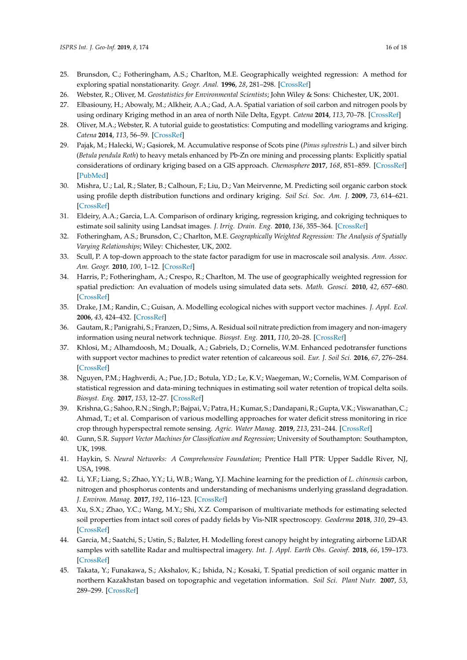- <span id="page-17-0"></span>25. Brunsdon, C.; Fotheringham, A.S.; Charlton, M.E. Geographically weighted regression: A method for exploring spatial nonstationarity. *Geogr. Anal.* **1996**, *28*, 281–298. [\[CrossRef\]](http://dx.doi.org/10.1111/j.1538-4632.1996.tb00936.x)
- <span id="page-17-1"></span>26. Webster, R.; Oliver, M. *Geostatistics for Environmental Scientists*; John Wiley & Sons: Chichester, UK, 2001.
- <span id="page-17-2"></span>27. Elbasiouny, H.; Abowaly, M.; Alkheir, A.A.; Gad, A.A. Spatial variation of soil carbon and nitrogen pools by using ordinary Kriging method in an area of north Nile Delta, Egypt. *Catena* **2014**, *113*, 70–78. [\[CrossRef\]](http://dx.doi.org/10.1016/j.catena.2013.09.008)
- 28. Oliver, M.A.; Webster, R. A tutorial guide to geostatistics: Computing and modelling variograms and kriging. *Catena* **2014**, *113*, 56–59. [\[CrossRef\]](http://dx.doi.org/10.1016/j.catena.2013.09.006)
- <span id="page-17-3"></span>29. Pająk, M.; Halecki, W.; Gąsiorek, M. Accumulative response of Scots pine (*Pinus sylvestris* L.) and silver birch (*Betula pendula Roth*) to heavy metals enhanced by Pb-Zn ore mining and processing plants: Explicitly spatial considerations of ordinary kriging based on a GIS approach. *Chemosphere* **2017**, *168*, 851–859. [\[CrossRef\]](http://dx.doi.org/10.1016/j.chemosphere.2016.10.125) [\[PubMed\]](http://www.ncbi.nlm.nih.gov/pubmed/27836278)
- <span id="page-17-4"></span>30. Mishra, U.; Lal, R.; Slater, B.; Calhoun, F.; Liu, D.; Van Meirvenne, M. Predicting soil organic carbon stock using profile depth distribution functions and ordinary kriging. *Soil Sci. Soc. Am. J.* **2009**, *73*, 614–621. [\[CrossRef\]](http://dx.doi.org/10.2136/sssaj2007.0410)
- <span id="page-17-5"></span>31. Eldeiry, A.A.; Garcia, L.A. Comparison of ordinary kriging, regression kriging, and cokriging techniques to estimate soil salinity using Landsat images. *J. Irrig. Drain. Eng.* **2010**, *136*, 355–364. [\[CrossRef\]](http://dx.doi.org/10.1061/(ASCE)IR.1943-4774.0000208)
- <span id="page-17-6"></span>32. Fotheringham, A.S.; Brunsdon, C.; Charlton, M.E. *Geographically Weighted Regression: The Analysis of Spatially Varying Relationships*; Wiley: Chichester, UK, 2002.
- <span id="page-17-7"></span>33. Scull, P. A top-down approach to the state factor paradigm for use in macroscale soil analysis. *Ann. Assoc. Am. Geogr.* **2010**, *100*, 1–12. [\[CrossRef\]](http://dx.doi.org/10.1080/00045600903362279)
- <span id="page-17-8"></span>34. Harris, P.; Fotheringham, A.; Crespo, R.; Charlton, M. The use of geographically weighted regression for spatial prediction: An evaluation of models using simulated data sets. *Math. Geosci.* **2010**, *42*, 657–680. [\[CrossRef\]](http://dx.doi.org/10.1007/s11004-010-9284-7)
- <span id="page-17-9"></span>35. Drake, J.M.; Randin, C.; Guisan, A. Modelling ecological niches with support vector machines. *J. Appl. Ecol.* **2006**, *43*, 424–432. [\[CrossRef\]](http://dx.doi.org/10.1111/j.1365-2664.2006.01141.x)
- <span id="page-17-10"></span>36. Gautam, R.; Panigrahi, S.; Franzen, D.; Sims, A. Residual soil nitrate prediction from imagery and non-imagery information using neural network technique. *Biosyst. Eng.* **2011**, *110*, 20–28. [\[CrossRef\]](http://dx.doi.org/10.1016/j.biosystemseng.2011.06.002)
- <span id="page-17-11"></span>37. Khlosi, M.; Alhamdoosh, M.; Doualk, A.; Gabriels, D.; Cornelis, W.M. Enhanced pedotransfer functions with support vector machines to predict water retention of calcareous soil. *Eur. J. Soil Sci.* **2016**, *67*, 276–284. [\[CrossRef\]](http://dx.doi.org/10.1111/ejss.12345)
- 38. Nguyen, P.M.; Haghverdi, A.; Pue, J.D.; Botula, Y.D.; Le, K.V.; Waegeman, W.; Cornelis, W.M. Comparison of statistical regression and data-mining techniques in estimating soil water retention of tropical delta soils. *Biosyst. Eng.* **2017**, *153*, 12–27. [\[CrossRef\]](http://dx.doi.org/10.1016/j.biosystemseng.2016.10.013)
- <span id="page-17-12"></span>39. Krishna, G.; Sahoo, R.N.; Singh, P.; Bajpai, V.; Patra, H.; Kumar, S.; Dandapani, R.; Gupta, V.K.; Viswanathan, C.; Ahmad, T.; et al. Comparison of various modelling approaches for water deficit stress monitoring in rice crop through hyperspectral remote sensing. *Agric. Water Manag.* **2019**, *213*, 231–244. [\[CrossRef\]](http://dx.doi.org/10.1016/j.agwat.2018.08.029)
- <span id="page-17-13"></span>40. Gunn, S.R. *Support Vector Machines for Classification and Regression*; University of Southampton: Southampton, UK, 1998.
- <span id="page-17-14"></span>41. Haykin, S. *Neural Networks: A Comprehensive Foundation*; Prentice Hall PTR: Upper Saddle River, NJ, USA, 1998.
- <span id="page-17-15"></span>42. Li, Y.F.; Liang, S.; Zhao, Y.Y.; Li, W.B.; Wang, Y.J. Machine learning for the prediction of *L. chinensis* carbon, nitrogen and phosphorus contents and understanding of mechanisms underlying grassland degradation. *J. Environ. Manag.* **2017**, *192*, 116–123. [\[CrossRef\]](http://dx.doi.org/10.1016/j.jenvman.2017.01.047)
- <span id="page-17-16"></span>43. Xu, S.X.; Zhao, Y.C.; Wang, M.Y.; Shi, X.Z. Comparison of multivariate methods for estimating selected soil properties from intact soil cores of paddy fields by Vis-NIR spectroscopy. *Geoderma* **2018**, *310*, 29–43. [\[CrossRef\]](http://dx.doi.org/10.1016/j.geoderma.2017.09.013)
- <span id="page-17-17"></span>44. Garcia, M.; Saatchi, S.; Ustin, S.; Balzter, H. Modelling forest canopy height by integrating airborne LiDAR samples with satellite Radar and multispectral imagery. *Int. J. Appl. Earth Obs. Geoinf.* **2018**, *66*, 159–173. [\[CrossRef\]](http://dx.doi.org/10.1016/j.jag.2017.11.017)
- <span id="page-17-18"></span>45. Takata, Y.; Funakawa, S.; Akshalov, K.; Ishida, N.; Kosaki, T. Spatial prediction of soil organic matter in northern Kazakhstan based on topographic and vegetation information. *Soil Sci. Plant Nutr.* **2007**, *53*, 289–299. [\[CrossRef\]](http://dx.doi.org/10.1111/j.1747-0765.2007.00142.x)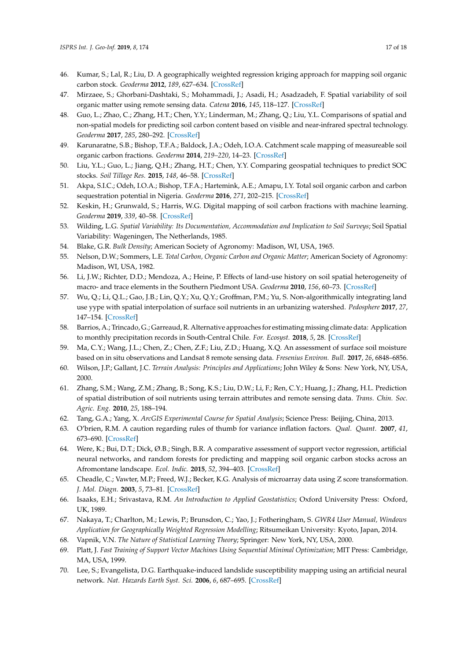- <span id="page-18-0"></span>46. Kumar, S.; Lal, R.; Liu, D. A geographically weighted regression kriging approach for mapping soil organic carbon stock. *Geoderma* **2012**, *189*, 627–634. [\[CrossRef\]](http://dx.doi.org/10.1016/j.geoderma.2012.05.022)
- <span id="page-18-1"></span>47. Mirzaee, S.; Ghorbani-Dashtaki, S.; Mohammadi, J.; Asadi, H.; Asadzadeh, F. Spatial variability of soil organic matter using remote sensing data. *Catena* **2016**, *145*, 118–127. [\[CrossRef\]](http://dx.doi.org/10.1016/j.catena.2016.05.023)
- <span id="page-18-2"></span>48. Guo, L.; Zhao, C.; Zhang, H.T.; Chen, Y.Y.; Linderman, M.; Zhang, Q.; Liu, Y.L. Comparisons of spatial and non-spatial models for predicting soil carbon content based on visible and near-infrared spectral technology. *Geoderma* **2017**, *285*, 280–292. [\[CrossRef\]](http://dx.doi.org/10.1016/j.geoderma.2016.10.010)
- <span id="page-18-3"></span>49. Karunaratne, S.B.; Bishop, T.F.A.; Baldock, J.A.; Odeh, I.O.A. Catchment scale mapping of measureable soil organic carbon fractions. *Geoderma* **2014**, *219–220*, 14–23. [\[CrossRef\]](http://dx.doi.org/10.1016/j.geoderma.2013.12.005)
- <span id="page-18-4"></span>50. Liu, Y.L.; Guo, L.; Jiang, Q.H.; Zhang, H.T.; Chen, Y.Y. Comparing geospatial techniques to predict SOC stocks. *Soil Tillage Res.* **2015**, *148*, 46–58. [\[CrossRef\]](http://dx.doi.org/10.1016/j.still.2014.12.002)
- 51. Akpa, S.I.C.; Odeh, I.O.A.; Bishop, T.F.A.; Hartemink, A.E.; Amapu, I.Y. Total soil organic carbon and carbon sequestration potential in Nigeria. *Geoderma* **2016**, *271*, 202–215. [\[CrossRef\]](http://dx.doi.org/10.1016/j.geoderma.2016.02.021)
- <span id="page-18-5"></span>52. Keskin, H.; Grunwald, S.; Harris, W.G. Digital mapping of soil carbon fractions with machine learning. *Geoderma* **2019**, *339*, 40–58. [\[CrossRef\]](http://dx.doi.org/10.1016/j.geoderma.2018.12.037)
- <span id="page-18-6"></span>53. Wilding, L.G. *Spatial Variability: Its Documentation, Accommodation and Implication to Soil Surveys*; Soil Spatial Variability: Wageningen, The Netherlands, 1985.
- <span id="page-18-7"></span>54. Blake, G.R. *Bulk Density*; American Society of Agronomy: Madison, WI, USA, 1965.
- <span id="page-18-8"></span>55. Nelson, D.W.; Sommers, L.E. *Total Carbon, Organic Carbon and Organic Matter*; American Society of Agronomy: Madison, WI, USA, 1982.
- <span id="page-18-9"></span>56. Li, J.W.; Richter, D.D.; Mendoza, A.; Heine, P. Effects of land-use history on soil spatial heterogeneity of macro- and trace elements in the Southern Piedmont USA. *Geoderma* **2010**, *156*, 60–73. [\[CrossRef\]](http://dx.doi.org/10.1016/j.geoderma.2010.01.008)
- 57. Wu, Q.; Li, Q.L.; Gao, J.B.; Lin, Q.Y.; Xu, Q.Y.; Groffman, P.M.; Yu, S. Non-algorithmically integrating land use yype with spatial interpolation of surface soil nutrients in an urbanizing watershed. *Pedosphere* **2017**, *27*, 147–154. [\[CrossRef\]](http://dx.doi.org/10.1016/S1002-0160(15)60101-1)
- <span id="page-18-10"></span>58. Barrios, A.; Trincado, G.; Garreaud, R. Alternative approaches for estimating missing climate data: Application to monthly precipitation records in South-Central Chile. *For. Ecosyst.* **2018**, *5*, 28. [\[CrossRef\]](http://dx.doi.org/10.1186/s40663-018-0147-x)
- <span id="page-18-11"></span>59. Ma, C.Y.; Wang, J.L.; Chen, Z.; Chen, Z.F.; Liu, Z.D.; Huang, X.Q. An assessment of surface soil moisture based on in situ observations and Landsat 8 remote sensing data. *Fresenius Environ. Bull.* **2017**, *26*, 6848–6856.
- <span id="page-18-12"></span>60. Wilson, J.P.; Gallant, J.C. *Terrain Analysis: Principles and Applications*; John Wiley & Sons: New York, NY, USA, 2000.
- 61. Zhang, S.M.; Wang, Z.M.; Zhang, B.; Song, K.S.; Liu, D.W.; Li, F.; Ren, C.Y.; Huang, J.; Zhang, H.L. Prediction of spatial distribution of soil nutrients using terrain attributes and remote sensing data. *Trans. Chin. Soc. Agric. Eng.* **2010**, *25*, 188–194.
- <span id="page-18-13"></span>62. Tang, G.A.; Yang, X. *ArcGIS Experimental Course for Spatial Analysis*; Science Press: Beijing, China, 2013.
- <span id="page-18-14"></span>63. O'brien, R.M. A caution regarding rules of thumb for variance inflation factors. *Qual. Quant.* **2007**, *41*, 673–690. [\[CrossRef\]](http://dx.doi.org/10.1007/s11135-006-9018-6)
- <span id="page-18-15"></span>64. Were, K.; Bui, D.T.; Dick, Ø.B.; Singh, B.R. A comparative assessment of support vector regression, artificial neural networks, and random forests for predicting and mapping soil organic carbon stocks across an Afromontane landscape. *Ecol. Indic.* **2015**, *52*, 394–403. [\[CrossRef\]](http://dx.doi.org/10.1016/j.ecolind.2014.12.028)
- <span id="page-18-16"></span>65. Cheadle, C.; Vawter, M.P.; Freed, W.J.; Becker, K.G. Analysis of microarray data using Z score transformation. *J. Mol. Diagn.* **2003**, *5*, 73–81. [\[CrossRef\]](http://dx.doi.org/10.1016/S1525-1578(10)60455-2)
- <span id="page-18-17"></span>66. Isaaks, E.H.; Srivastava, R.M. *An Introduction to Applied Geostatistics*; Oxford University Press: Oxford, UK, 1989.
- <span id="page-18-18"></span>67. Nakaya, T.; Charlton, M.; Lewis, P.; Brunsdon, C.; Yao, J.; Fotheringham, S. *GWR4 User Manual, Windows Application for Geographically Weighted Regression Modelling*; Ritsumeikan University: Kyoto, Japan, 2014.
- <span id="page-18-19"></span>68. Vapnik, V.N. *The Nature of Statistical Learning Theory*; Springer: New York, NY, USA, 2000.
- <span id="page-18-20"></span>69. Platt, J. *Fast Training of Support Vector Machines Using Sequential Minimal Optimization*; MIT Press: Cambridge, MA, USA, 1999.
- <span id="page-18-21"></span>70. Lee, S.; Evangelista, D.G. Earthquake-induced landslide susceptibility mapping using an artificial neural network. *Nat. Hazards Earth Syst. Sci.* **2006**, *6*, 687–695. [\[CrossRef\]](http://dx.doi.org/10.5194/nhess-6-687-2006)